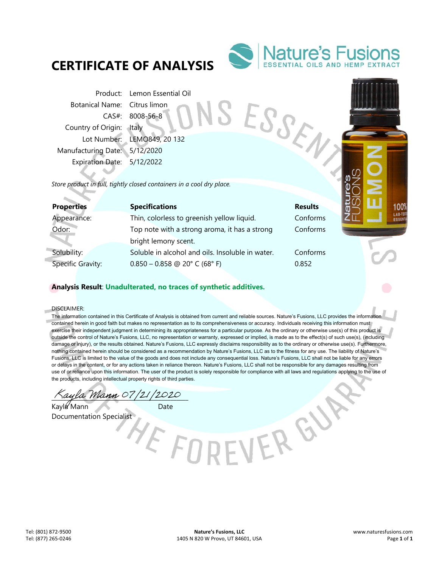# **CERTIFICATE OF ANALYSIS**



SESSEN

Product: Lemon Essential Oil Botanical Name: Citrus limon CAS#: 8008-56-8 Country of Origin: Italy Lot Number: LEMO849, 20 132 Manufacturing Date: 5/12/2020 Expiration Date: 5/12/2022

*Store product in full, tightly closed containers in a cool dry place.* 

| <b>Properties</b>        | <b>Specifications</b>                            | <b>Results</b> |
|--------------------------|--------------------------------------------------|----------------|
| Appearance:              | Thin, colorless to greenish yellow liquid.       | Conforms       |
| Odor:                    | Top note with a strong aroma, it has a strong    | Conforms       |
|                          | bright lemony scent.                             |                |
| Solubility:              | Soluble in alcohol and oils. Insoluble in water. | Conforms       |
| <b>Specific Gravity:</b> | $0.850 - 0.858$ @ 20° C (68° F)                  | 0.852          |

E FORE

# Conforms

EVERGY

## **Analysis Result**: **Unadulterated, no traces of synthetic additives.**

DISCLAIMER:

a.

The information contained in this Certificate of Analysis is obtained from current and reliable sources. Nature's Fusions, LLC provides the information contained herein in good faith but makes no representation as to its comprehensiveness or accuracy. Individuals receiving this information must exercise their independent judgment in determining its appropriateness for a particular purpose. As the ordinary or otherwise use(s) of this product is outside the control of Nature's Fusions, LLC, no representation or warranty, expressed or implied, is made as to the effect(s) of such use(s), (including damage or injury), or the results obtained. Nature's Fusions, LLC expressly disclaims responsibility as to the ordinary or otherwise use(s). Furthermore, nothing contained herein should be considered as a recommendation by Nature's Fusions, LLC as to the fitness for any use. The liability of Nature's Fusions, LLC is limited to the value of the goods and does not include any consequential loss. Nature's Fusions, LLC shall not be liable for any errors or delays in the content, or for any actions taken in reliance thereon. Nature's Fusions, LLC shall not be responsible for any damages resulting from use of or reliance upon this information. The user of the product is solely responsible for compliance with all laws and regulations applying to the use of the products, including intellectual property rights of third parties.

ayla Mann 07/21/2020

Kayla Mann Date Documentation Specialist

100' LAB-TE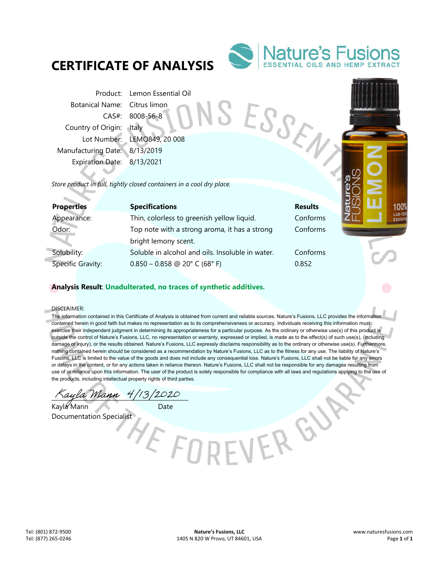# **CERTIFICATE OF ANALYSIS**



SESSEN

Product: Lemon Essential Oil Botanical Name: Citrus limon CAS#: 8008-56-8 Country of Origin: Italy Lot Number: LEMO849, 20 008 Manufacturing Date: 8/13/2019 Expiration Date: 8/13/2021

*Store product in full, tightly closed containers in a cool dry place.* 

| <b>Properties</b>        | <b>Specifications</b>                            | <b>Results</b> |
|--------------------------|--------------------------------------------------|----------------|
| Appearance:              | Thin, colorless to greenish yellow liquid.       | Conforms       |
| Odor:                    | Top note with a strong aroma, it has a strong    | Conforms       |
|                          | bright lemony scent.                             |                |
| Solubility:              | Soluble in alcohol and oils. Insoluble in water. | Conforms       |
| <b>Specific Gravity:</b> | $0.850 - 0.858$ @ 20° C (68° F)                  | 0.852          |

E FOR

# Conforms

EVERGY

## **Analysis Result**: **Unadulterated, no traces of synthetic additives.**

DISCLAIMER:

a.

The information contained in this Certificate of Analysis is obtained from current and reliable sources. Nature's Fusions, LLC provides the information contained herein in good faith but makes no representation as to its comprehensiveness or accuracy. Individuals receiving this information must exercise their independent judgment in determining its appropriateness for a particular purpose. As the ordinary or otherwise use(s) of this product is outside the control of Nature's Fusions, LLC, no representation or warranty, expressed or implied, is made as to the effect(s) of such use(s), (including damage or injury), or the results obtained. Nature's Fusions, LLC expressly disclaims responsibility as to the ordinary or otherwise use(s). Furthermore, nothing contained herein should be considered as a recommendation by Nature's Fusions, LLC as to the fitness for any use. The liability of Nature's Fusions, LLC is limited to the value of the goods and does not include any consequential loss. Nature's Fusions, LLC shall not be liable for any errors or delays in the content, or for any actions taken in reliance thereon. Nature's Fusions, LLC shall not be responsible for any damages resulting from use of or reliance upon this information. The user of the product is solely responsible for compliance with all laws and regulations applying to the use of the products, including intellectual property rights of third parties.

ayla Mann 4/13/2020

Kayla Mann Date Documentation Specialist

100' LAB-TE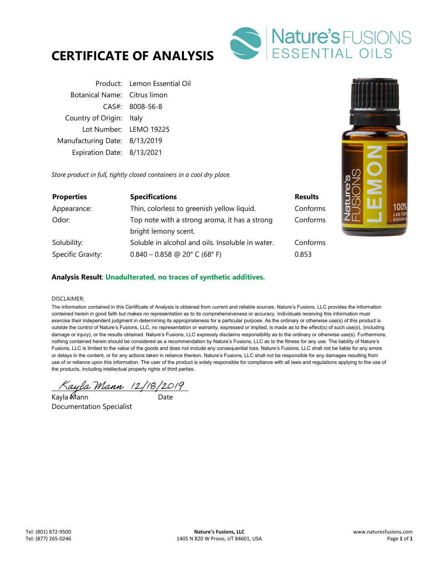



Product: Lemon Essential Oil Botanical Name: Citrus limon CAS#: 8008-56-8 Country of Origin: Italy Lot Number: LEMO 19225 Manufacturing Date: 8/13/2019 Expiration Date: 8/13/2021

*Store product in full, tightly closed containers in a cool dry place.* 

| <b>Properties</b> | <b>Specifications</b>                            | <b>Results</b> |
|-------------------|--------------------------------------------------|----------------|
| Appearance:       | Thin, colorless to greenish yellow liquid.       | Conforms       |
| Odor:             | Top note with a strong aroma, it has a strong    | Conforms       |
|                   | bright lemony scent.                             |                |
| Solubility:       | Soluble in alcohol and oils. Insoluble in water. | Conforms       |
| Specific Gravity: | $0.840 - 0.858$ @ 20° C (68° F)                  | 0.853          |



### **Analysis Result**: **Unadulterated, no traces of synthetic additives.**

#### DISCLAIMER:

The information contained in this Certificate of Analysis is obtained from current and reliable sources. Nature's Fusions, LLC provides the information contained herein in good faith but makes no representation as to its comprehensiveness or accuracy. Individuals receiving this information must exercise their independent judgment in determining its appropriateness for a particular purpose. As the ordinary or otherwise use(s) of this product is outside the control of Nature's Fusions, LLC, no representation or warranty, expressed or implied, is made as to the effect(s) of such use(s), (including damage or injury), or the results obtained. Nature's Fusions, LLC expressly disclaims responsibility as to the ordinary or otherwise use(s). Furthermore, nothing contained herein should be considered as a recommendation by Nature's Fusions, LLC as to the fitness for any use. The liability of Nature's Fusions, LLC is limited to the value of the goods and does not include any consequential loss. Nature's Fusions, LLC shall not be liable for any errors or delays in the content, or for any actions taken in reliance thereon. Nature's Fusions, LLC shall not be responsible for any damages resulting from use of or reliance upon this information. The user of the product is solely responsible for compliance with all laws and regulations applying to the use of the products, including intellectual property rights of third parties.

 $\land$ ayla Mann (2/18/2019)

Kayla Mann Date Documentation Specialist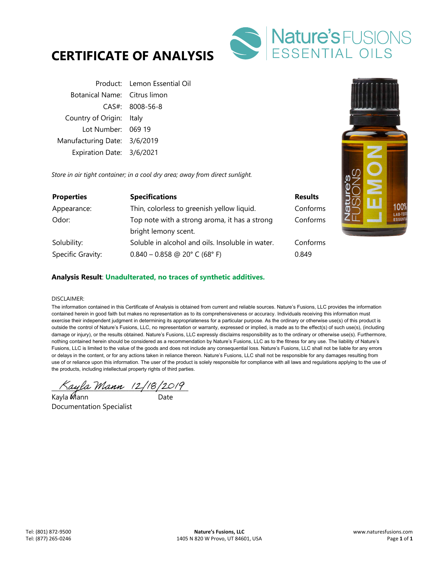



|                              | Product: Lemon Essential Oil |
|------------------------------|------------------------------|
| Botanical Name: Citrus limon |                              |
|                              | $CAS#$ : 8008-56-8           |
| Country of Origin: Italy     |                              |
| Lot Number: 069 19           |                              |
| Manufacturing Date: 3/6/2019 |                              |
| Expiration Date: 3/6/2021    |                              |

*Store in air tight container; in a cool dry area; away from direct sunlight.* 

| <b>Properties</b> | <b>Specifications</b>                            | <b>Results</b> |
|-------------------|--------------------------------------------------|----------------|
| Appearance:       | Thin, colorless to greenish yellow liquid.       | Conforms       |
| Odor:             | Top note with a strong aroma, it has a strong    | Conforms       |
|                   | bright lemony scent.                             |                |
| Solubility:       | Soluble in alcohol and oils. Insoluble in water. | Conforms       |
| Specific Gravity: | $0.840 - 0.858$ @ 20° C (68° F)                  | 0.849          |



#### **Analysis Result**: **Unadulterated, no traces of synthetic additives.**

#### DISCLAIMER:

The information contained in this Certificate of Analysis is obtained from current and reliable sources. Nature's Fusions, LLC provides the information contained herein in good faith but makes no representation as to its comprehensiveness or accuracy. Individuals receiving this information must exercise their independent judgment in determining its appropriateness for a particular purpose. As the ordinary or otherwise use(s) of this product is outside the control of Nature's Fusions, LLC, no representation or warranty, expressed or implied, is made as to the effect(s) of such use(s), (including damage or injury), or the results obtained. Nature's Fusions, LLC expressly disclaims responsibility as to the ordinary or otherwise use(s). Furthermore, nothing contained herein should be considered as a recommendation by Nature's Fusions, LLC as to the fitness for any use. The liability of Nature's Fusions, LLC is limited to the value of the goods and does not include any consequential loss. Nature's Fusions, LLC shall not be liable for any errors or delays in the content, or for any actions taken in reliance thereon. Nature's Fusions, LLC shall not be responsible for any damages resulting from use of or reliance upon this information. The user of the product is solely responsible for compliance with all laws and regulations applying to the use of the products, including intellectual property rights of third parties.

 $\wedge$ ayla Mann (2/18/2019)

Kayla Mann Date Documentation Specialist